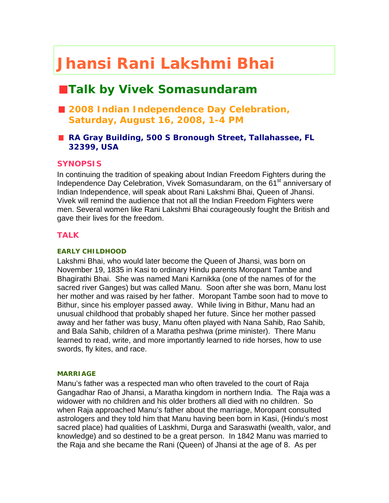# **Jhansi Rani Lakshmi Bhai**

# **Talk by Vivek Somasundaram**

- 2008 Indian Independence Day Celebration, **Saturday, August 16, 2008, 1-4 PM**
- RA Gray Building, 500 S Bronough Street, Tallahassee, FL **32399, USA**

# **SYNOPSIS**

In continuing the tradition of speaking about Indian Freedom Fighters during the Independence Day Celebration, Vivek Somasundaram, on the 61<sup>st</sup> anniversary of Indian Independence, will speak about Rani Lakshmi Bhai, Queen of Jhansi. Vivek will remind the audience that not all the Indian Freedom Fighters were men. Several women like Rani Lakshmi Bhai courageously fought the British and gave their lives for the freedom.

# **TALK**

#### **EARLY CHILDHOOD**

Lakshmi Bhai, who would later become the Queen of Jhansi, was born on November 19, 1835 in Kasi to ordinary Hindu parents Moropant Tambe and Bhagirathi Bhai. She was named Mani Karnikka (one of the names of for the sacred river Ganges) but was called Manu. Soon after she was born, Manu lost her mother and was raised by her father. Moropant Tambe soon had to move to Bithur, since his employer passed away. While living in Bithur, Manu had an unusual childhood that probably shaped her future. Since her mother passed away and her father was busy, Manu often played with Nana Sahib, Rao Sahib, and Bala Sahib, children of a Maratha peshwa (prime minister). There Manu learned to read, write, and more importantly learned to ride horses, how to use swords, fly kites, and race.

#### **MARRIAGE**

Manu's father was a respected man who often traveled to the court of Raja Gangadhar Rao of Jhansi, a Maratha kingdom in northern India. The Raja was a widower with no children and his older brothers all died with no children. So when Raja approached Manu's father about the marriage, Moropant consulted astrologers and they told him that Manu having been born in Kasi, (Hindu's most sacred place) had qualities of Laskhmi, Durga and Saraswathi (wealth, valor, and knowledge) and so destined to be a great person. In 1842 Manu was married to the Raja and she became the Rani (Queen) of Jhansi at the age of 8. As per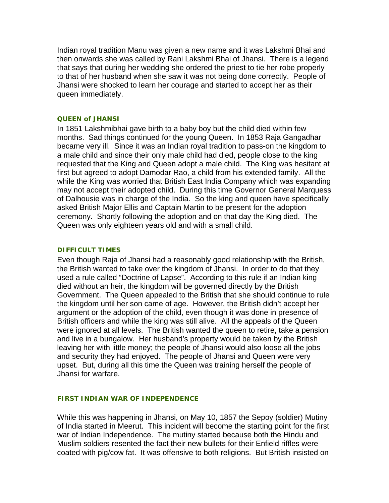Indian royal tradition Manu was given a new name and it was Lakshmi Bhai and then onwards she was called by Rani Lakshmi Bhai of Jhansi. There is a legend that says that during her wedding she ordered the priest to tie her robe properly to that of her husband when she saw it was not being done correctly. People of Jhansi were shocked to learn her courage and started to accept her as their queen immediately.

#### **QUEEN of JHANSI**

In 1851 Lakshmibhai gave birth to a baby boy but the child died within few months. Sad things continued for the young Queen. In 1853 Raja Gangadhar became very ill. Since it was an Indian royal tradition to pass-on the kingdom to a male child and since their only male child had died, people close to the king requested that the King and Queen adopt a male child. The King was hesitant at first but agreed to adopt Damodar Rao, a child from his extended family. All the while the King was worried that British East India Company which was expanding may not accept their adopted child. During this time Governor General Marquess of Dalhousie was in charge of the India. So the king and queen have specifically asked British Major Ellis and Captain Martin to be present for the adoption ceremony. Shortly following the adoption and on that day the King died. The Queen was only eighteen years old and with a small child.

#### **DIFFICULT TIMES**

Even though Raja of Jhansi had a reasonably good relationship with the British, the British wanted to take over the kingdom of Jhansi. In order to do that they used a rule called "Doctrine of Lapse". According to this rule if an Indian king died without an heir, the kingdom will be governed directly by the British Government. The Queen appealed to the British that she should continue to rule the kingdom until her son came of age. However, the British didn't accept her argument or the adoption of the child, even though it was done in presence of British officers and while the king was still alive. All the appeals of the Queen were ignored at all levels. The British wanted the queen to retire, take a pension and live in a bungalow. Her husband's property would be taken by the British leaving her with little money; the people of Jhansi would also loose all the jobs and security they had enjoyed. The people of Jhansi and Queen were very upset. But, during all this time the Queen was training herself the people of Jhansi for warfare.

#### **FIRST INDIAN WAR OF INDEPENDENCE**

While this was happening in Jhansi, on May 10, 1857 the Sepoy (soldier) Mutiny of India started in Meerut. This incident will become the starting point for the first war of Indian Independence. The mutiny started because both the Hindu and Muslim soldiers resented the fact their new bullets for their Enfield riffles were coated with pig/cow fat. It was offensive to both religions. But British insisted on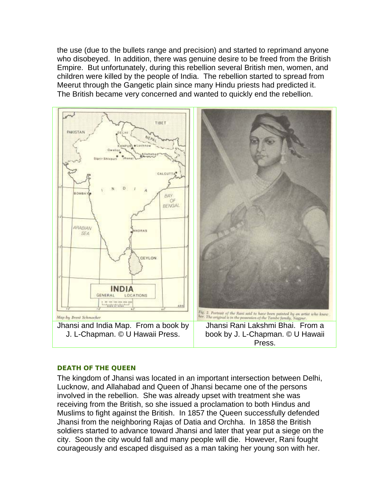the use (due to the bullets range and precision) and started to reprimand anyone who disobeyed. In addition, there was genuine desire to be freed from the British Empire. But unfortunately, during this rebellion several British men, women, and children were killed by the people of India. The rebellion started to spread from Meerut through the Gangetic plain since many Hindu priests had predicted it. The British became very concerned and wanted to quickly end the rebellion.



#### **DEATH OF THE QUEEN**

The kingdom of Jhansi was located in an important intersection between Delhi, Lucknow, and Allahabad and Queen of Jhansi became one of the persons involved in the rebellion. She was already upset with treatment she was receiving from the British, so she issued a proclamation to both Hindus and Muslims to fight against the British. In 1857 the Queen successfully defended Jhansi from the neighboring Rajas of Datia and Orchha. In 1858 the British soldiers started to advance toward Jhansi and later that year put a siege on the city. Soon the city would fall and many people will die. However, Rani fought courageously and escaped disguised as a man taking her young son with her.